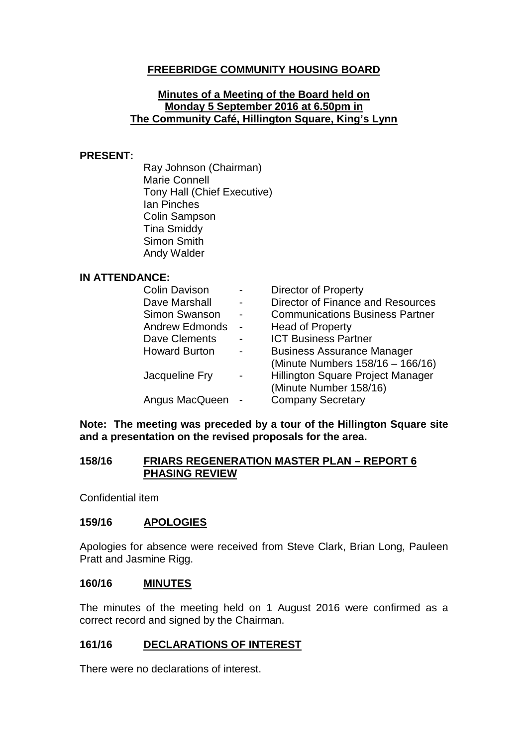# **FREEBRIDGE COMMUNITY HOUSING BOARD**

#### **Minutes of a Meeting of the Board held on Monday 5 September 2016 at 6.50pm in The Community Café, Hillington Square, King's Lynn**

#### **PRESENT:**

Ray Johnson (Chairman) Marie Connell Tony Hall (Chief Executive) Ian Pinches Colin Sampson Tina Smiddy Simon Smith Andy Walder

### **IN ATTENDANCE:**

| <b>Colin Davison</b>  | <b>Director of Property</b>            |
|-----------------------|----------------------------------------|
| Dave Marshall         | Director of Finance and Resources      |
| Simon Swanson         | <b>Communications Business Partner</b> |
| <b>Andrew Edmonds</b> | <b>Head of Property</b>                |
| Dave Clements         | <b>ICT Business Partner</b>            |
| <b>Howard Burton</b>  | <b>Business Assurance Manager</b>      |
|                       | (Minute Numbers 158/16 - 166/16)       |
| Jacqueline Fry        | Hillington Square Project Manager      |
|                       | (Minute Number 158/16)                 |
| Angus MacQueen        | <b>Company Secretary</b>               |

#### **Note: The meeting was preceded by a tour of the Hillington Square site and a presentation on the revised proposals for the area.**

#### **158/16 FRIARS REGENERATION MASTER PLAN – REPORT 6 PHASING REVIEW**

Confidential item

### **159/16 APOLOGIES**

Apologies for absence were received from Steve Clark, Brian Long, Pauleen Pratt and Jasmine Rigg.

#### **160/16 MINUTES**

The minutes of the meeting held on 1 August 2016 were confirmed as a correct record and signed by the Chairman.

### **161/16 DECLARATIONS OF INTEREST**

There were no declarations of interest.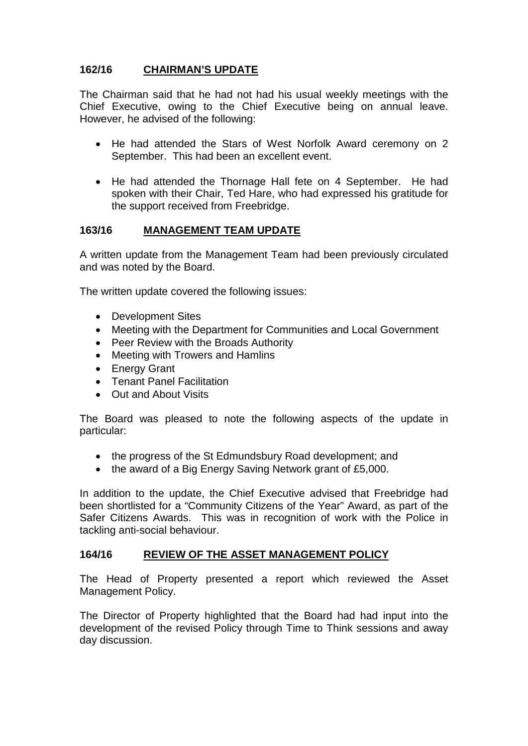# **162/16 CHAIRMAN'S UPDATE**

The Chairman said that he had not had his usual weekly meetings with the Chief Executive, owing to the Chief Executive being on annual leave. However, he advised of the following:

- He had attended the Stars of West Norfolk Award ceremony on 2 September. This had been an excellent event.
- He had attended the Thornage Hall fete on 4 September. He had spoken with their Chair, Ted Hare, who had expressed his gratitude for the support received from Freebridge.

# **163/16 MANAGEMENT TEAM UPDATE**

A written update from the Management Team had been previously circulated and was noted by the Board.

The written update covered the following issues:

- Development Sites
- Meeting with the Department for Communities and Local Government
- Peer Review with the Broads Authority
- Meeting with Trowers and Hamlins
- Energy Grant
- Tenant Panel Facilitation
- Out and About Visits

The Board was pleased to note the following aspects of the update in particular:

- the progress of the St Edmundsbury Road development; and
- the award of a Big Energy Saving Network grant of £5,000.

In addition to the update, the Chief Executive advised that Freebridge had been shortlisted for a "Community Citizens of the Year" Award, as part of the Safer Citizens Awards. This was in recognition of work with the Police in tackling anti-social behaviour.

### **164/16 REVIEW OF THE ASSET MANAGEMENT POLICY**

The Head of Property presented a report which reviewed the Asset Management Policy.

The Director of Property highlighted that the Board had had input into the development of the revised Policy through Time to Think sessions and away day discussion.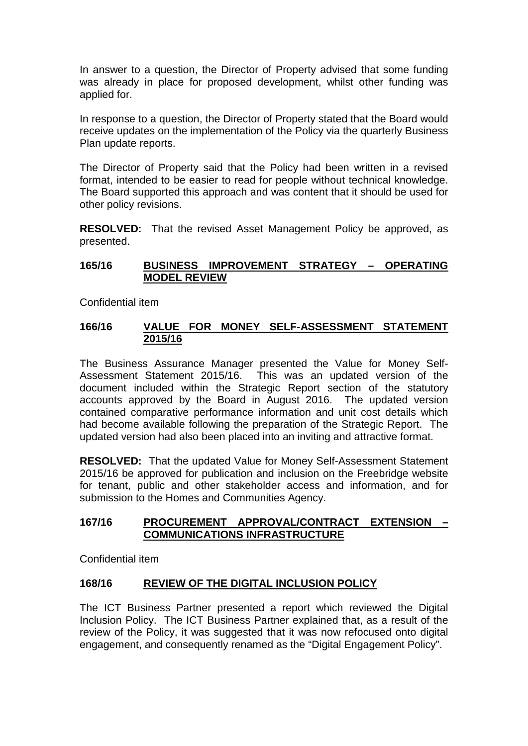In answer to a question, the Director of Property advised that some funding was already in place for proposed development, whilst other funding was applied for.

In response to a question, the Director of Property stated that the Board would receive updates on the implementation of the Policy via the quarterly Business Plan update reports.

The Director of Property said that the Policy had been written in a revised format, intended to be easier to read for people without technical knowledge. The Board supported this approach and was content that it should be used for other policy revisions.

**RESOLVED:** That the revised Asset Management Policy be approved, as presented.

## **165/16 BUSINESS IMPROVEMENT STRATEGY – OPERATING MODEL REVIEW**

Confidential item

### **166/16 VALUE FOR MONEY SELF-ASSESSMENT STATEMENT 2015/16**

The Business Assurance Manager presented the Value for Money Self-Assessment Statement 2015/16. This was an updated version of the document included within the Strategic Report section of the statutory accounts approved by the Board in August 2016. The updated version contained comparative performance information and unit cost details which had become available following the preparation of the Strategic Report. The updated version had also been placed into an inviting and attractive format.

**RESOLVED:** That the updated Value for Money Self-Assessment Statement 2015/16 be approved for publication and inclusion on the Freebridge website for tenant, public and other stakeholder access and information, and for submission to the Homes and Communities Agency.

# **167/16 PROCUREMENT APPROVAL/CONTRACT EXTENSION – COMMUNICATIONS INFRASTRUCTURE**

Confidential item

### **168/16 REVIEW OF THE DIGITAL INCLUSION POLICY**

The ICT Business Partner presented a report which reviewed the Digital Inclusion Policy. The ICT Business Partner explained that, as a result of the review of the Policy, it was suggested that it was now refocused onto digital engagement, and consequently renamed as the "Digital Engagement Policy".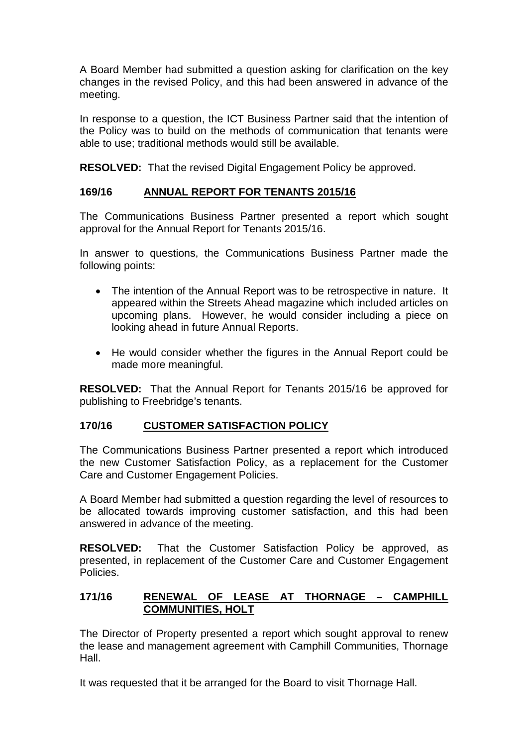A Board Member had submitted a question asking for clarification on the key changes in the revised Policy, and this had been answered in advance of the meeting.

In response to a question, the ICT Business Partner said that the intention of the Policy was to build on the methods of communication that tenants were able to use; traditional methods would still be available.

**RESOLVED:** That the revised Digital Engagement Policy be approved.

# **169/16 ANNUAL REPORT FOR TENANTS 2015/16**

The Communications Business Partner presented a report which sought approval for the Annual Report for Tenants 2015/16.

In answer to questions, the Communications Business Partner made the following points:

- The intention of the Annual Report was to be retrospective in nature. It appeared within the Streets Ahead magazine which included articles on upcoming plans. However, he would consider including a piece on looking ahead in future Annual Reports.
- He would consider whether the figures in the Annual Report could be made more meaningful.

**RESOLVED:** That the Annual Report for Tenants 2015/16 be approved for publishing to Freebridge's tenants.

### **170/16 CUSTOMER SATISFACTION POLICY**

The Communications Business Partner presented a report which introduced the new Customer Satisfaction Policy, as a replacement for the Customer Care and Customer Engagement Policies.

A Board Member had submitted a question regarding the level of resources to be allocated towards improving customer satisfaction, and this had been answered in advance of the meeting.

**RESOLVED:** That the Customer Satisfaction Policy be approved, as presented, in replacement of the Customer Care and Customer Engagement **Policies** 

# **171/16 RENEWAL OF LEASE AT THORNAGE – CAMPHILL COMMUNITIES, HOLT**

The Director of Property presented a report which sought approval to renew the lease and management agreement with Camphill Communities, Thornage Hall.

It was requested that it be arranged for the Board to visit Thornage Hall.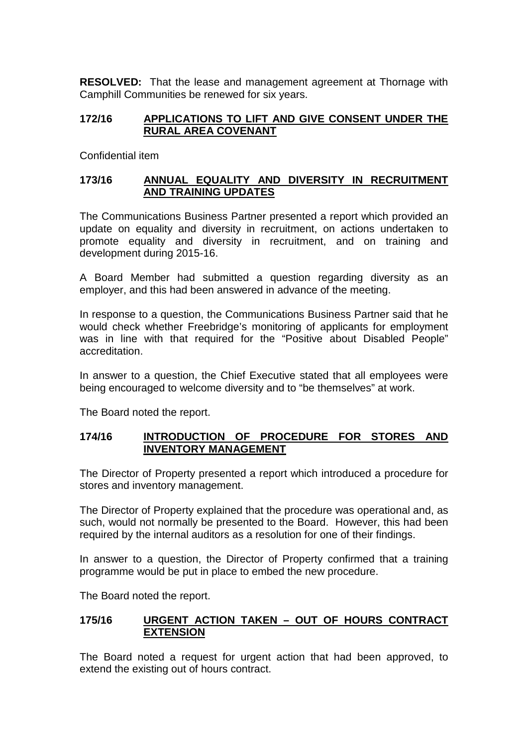**RESOLVED:** That the lease and management agreement at Thornage with Camphill Communities be renewed for six years.

# **172/16 APPLICATIONS TO LIFT AND GIVE CONSENT UNDER THE RURAL AREA COVENANT**

Confidential item

# **173/16 ANNUAL EQUALITY AND DIVERSITY IN RECRUITMENT AND TRAINING UPDATES**

The Communications Business Partner presented a report which provided an update on equality and diversity in recruitment, on actions undertaken to promote equality and diversity in recruitment, and on training and development during 2015-16.

A Board Member had submitted a question regarding diversity as an employer, and this had been answered in advance of the meeting.

In response to a question, the Communications Business Partner said that he would check whether Freebridge's monitoring of applicants for employment was in line with that required for the "Positive about Disabled People" accreditation.

In answer to a question, the Chief Executive stated that all employees were being encouraged to welcome diversity and to "be themselves" at work.

The Board noted the report.

### **174/16 INTRODUCTION OF PROCEDURE FOR STORES AND INVENTORY MANAGEMENT**

The Director of Property presented a report which introduced a procedure for stores and inventory management.

The Director of Property explained that the procedure was operational and, as such, would not normally be presented to the Board. However, this had been required by the internal auditors as a resolution for one of their findings.

In answer to a question, the Director of Property confirmed that a training programme would be put in place to embed the new procedure.

The Board noted the report.

### **175/16 URGENT ACTION TAKEN – OUT OF HOURS CONTRACT EXTENSION**

The Board noted a request for urgent action that had been approved, to extend the existing out of hours contract.